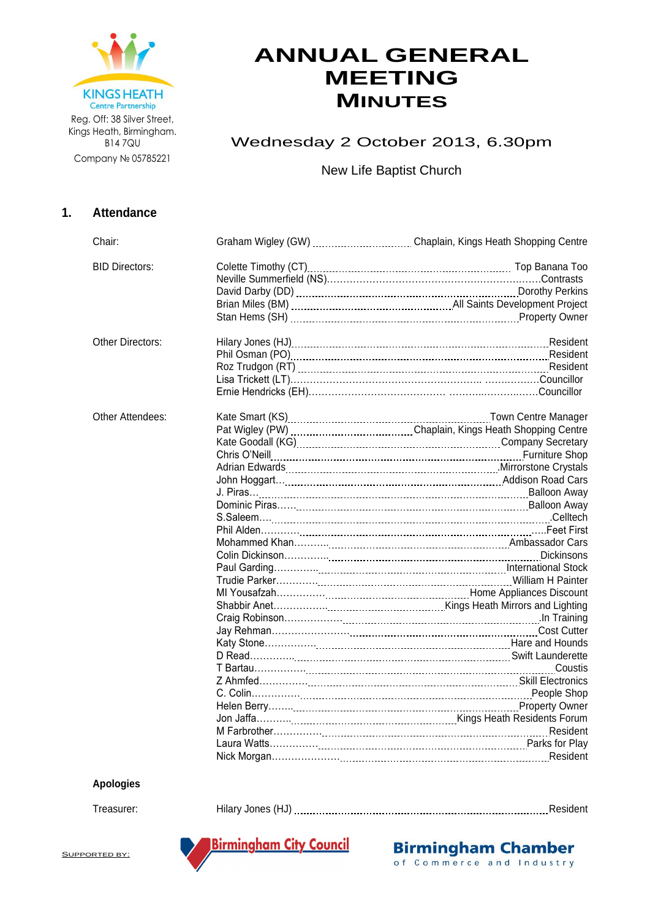

Kings Heath, Birmingham. B14 7QU Company № 05785221

# **ANNUAL GENERAL MEETING MINUTES**

# Wednesday 2 October 2013, 6.30pm

New Life Baptist Church

## **1. Attendance**

| Chair:                |                                                                          |
|-----------------------|--------------------------------------------------------------------------|
| <b>BID Directors:</b> |                                                                          |
|                       |                                                                          |
|                       |                                                                          |
|                       |                                                                          |
|                       |                                                                          |
| Other Directors:      |                                                                          |
|                       |                                                                          |
|                       |                                                                          |
|                       |                                                                          |
|                       |                                                                          |
| Other Attendees:      |                                                                          |
|                       |                                                                          |
|                       | Kate Goodall (KG) [11] KG] [12] Kate Goodall (KG) [12] Company Secretary |
|                       |                                                                          |
|                       |                                                                          |
|                       |                                                                          |
|                       |                                                                          |
|                       |                                                                          |
|                       |                                                                          |
|                       |                                                                          |
|                       |                                                                          |
|                       |                                                                          |
|                       |                                                                          |
|                       |                                                                          |
|                       |                                                                          |
|                       |                                                                          |
|                       |                                                                          |
|                       |                                                                          |
|                       |                                                                          |
|                       |                                                                          |
|                       |                                                                          |
|                       |                                                                          |
|                       |                                                                          |
|                       |                                                                          |
|                       |                                                                          |
|                       |                                                                          |
|                       |                                                                          |
|                       |                                                                          |
|                       |                                                                          |

#### **Apologies**

Treasurer: Hilary Jones (HJ) Resident



**Birmingham Chamber** of Commerce and Industry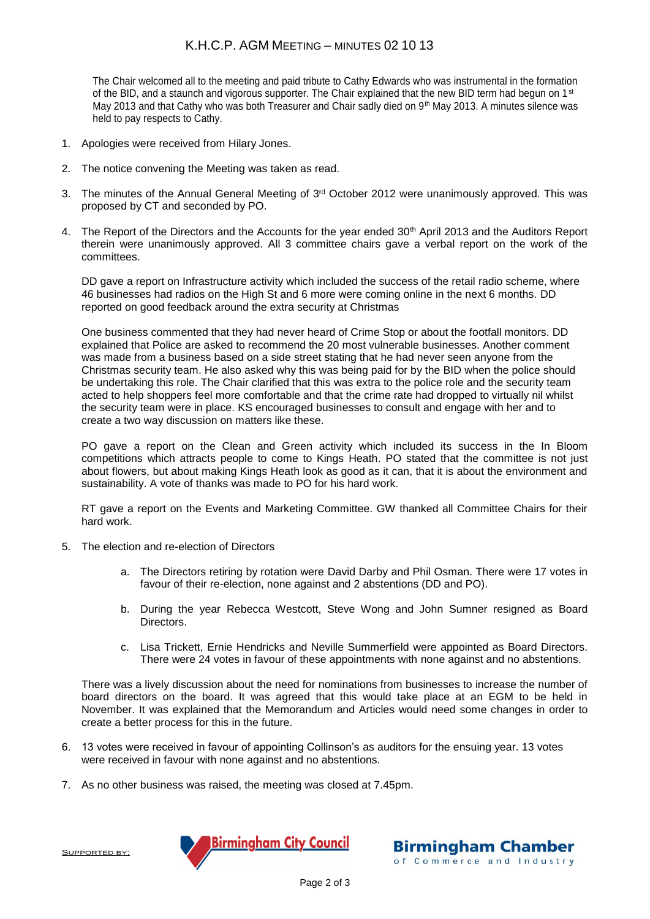## K.H.C.P. AGM MEETING – MINUTES 02 10 13

The Chair welcomed all to the meeting and paid tribute to Cathy Edwards who was instrumental in the formation of the BID, and a staunch and vigorous supporter. The Chair explained that the new BID term had begun on 1<sup>st</sup> May 2013 and that Cathy who was both Treasurer and Chair sadly died on 9<sup>th</sup> May 2013. A minutes silence was held to pay respects to Cathy.

- 1. Apologies were received from Hilary Jones.
- 2. The notice convening the Meeting was taken as read.
- 3. The minutes of the Annual General Meeting of  $3<sup>rd</sup>$  October 2012 were unanimously approved. This was proposed by CT and seconded by PO.
- 4. The Report of the Directors and the Accounts for the year ended 30<sup>th</sup> April 2013 and the Auditors Report therein were unanimously approved. All 3 committee chairs gave a verbal report on the work of the committees.

DD gave a report on Infrastructure activity which included the success of the retail radio scheme, where 46 businesses had radios on the High St and 6 more were coming online in the next 6 months. DD reported on good feedback around the extra security at Christmas

One business commented that they had never heard of Crime Stop or about the footfall monitors. DD explained that Police are asked to recommend the 20 most vulnerable businesses. Another comment was made from a business based on a side street stating that he had never seen anyone from the Christmas security team. He also asked why this was being paid for by the BID when the police should be undertaking this role. The Chair clarified that this was extra to the police role and the security team acted to help shoppers feel more comfortable and that the crime rate had dropped to virtually nil whilst the security team were in place. KS encouraged businesses to consult and engage with her and to create a two way discussion on matters like these.

PO gave a report on the Clean and Green activity which included its success in the In Bloom competitions which attracts people to come to Kings Heath. PO stated that the committee is not just about flowers, but about making Kings Heath look as good as it can, that it is about the environment and sustainability. A vote of thanks was made to PO for his hard work.

RT gave a report on the Events and Marketing Committee. GW thanked all Committee Chairs for their hard work.

- 5. The election and re-election of Directors
	- a. The Directors retiring by rotation were David Darby and Phil Osman. There were 17 votes in favour of their re-election, none against and 2 abstentions (DD and PO).
	- b. During the year Rebecca Westcott, Steve Wong and John Sumner resigned as Board Directors.
	- c. Lisa Trickett, Ernie Hendricks and Neville Summerfield were appointed as Board Directors. There were 24 votes in favour of these appointments with none against and no abstentions.

There was a lively discussion about the need for nominations from businesses to increase the number of board directors on the board. It was agreed that this would take place at an EGM to be held in November. It was explained that the Memorandum and Articles would need some changes in order to create a better process for this in the future.

- 6. 13 votes were received in favour of appointing Collinson's as auditors for the ensuing year. 13 votes were received in favour with none against and no abstentions.
- 7. As no other business was raised, the meeting was closed at 7.45pm.